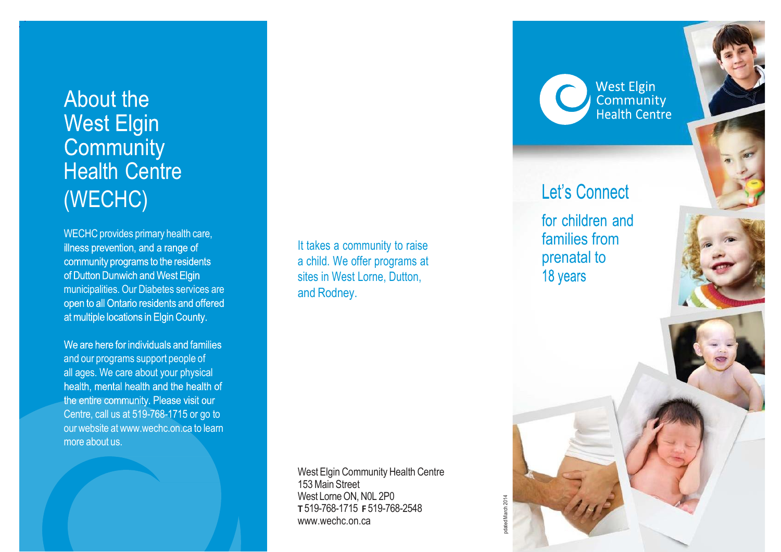# About the **West Elgin** Community **Health Centre** (WECHC)

WECHC provides primary health care, illness prevention, and a range of community programs to the residents of Dutton Dunwich and West Elgin municipalities. Our Diabetes services are open to all Ontario residents and offered at multiple locations in Elgin County.

We are here for individuals and families and our programs support people of all ages. We care about your physical health, mental health and the health of the entire community. Please visit our Centre, call us at 519-768-1715 or go to our website at [www.wechc.on.ca](http://www.wechc.on.ca/) to learn more about us.

It takes a community to raise a child. We offer programs at sites in West Lorne, Dutton, and Rodney.

West Elgin Community Health Centre 153Main Street West Lorne ON, N0L 2P0 **T** 519-768-1715 **F** 519-768-2548 [www.wechc.on.ca](http://www.wechc.on.ca/)

**West Elgin** Community<br>Health Centre

## **Let's Connect**

for children and families from prenatal to 18 years

pdated March 2014

odated March 2014